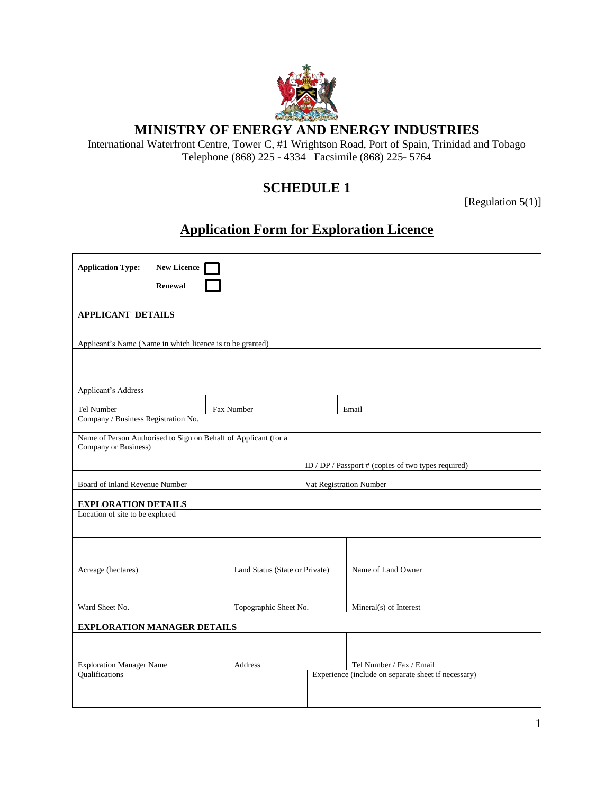

### **MINISTRY OF ENERGY AND ENERGY INDUSTRIES**

International Waterfront Centre, Tower C, #1 Wrightson Road, Port of Spain, Trinidad and Tobago Telephone (868) 225 - 4334 Facsimile (868) 225-5764

## **SCHEDULE 1**

[Regulation 5(1)]

# **Application Form for Exploration Licence**

| <b>Application Type:</b><br><b>Renewal</b>                                              | <b>New Licence</b>             |         |                         |                                                     |  |  |  |
|-----------------------------------------------------------------------------------------|--------------------------------|---------|-------------------------|-----------------------------------------------------|--|--|--|
| <b>APPLICANT DETAILS</b>                                                                |                                |         |                         |                                                     |  |  |  |
| Applicant's Name (Name in which licence is to be granted)                               |                                |         |                         |                                                     |  |  |  |
| Applicant's Address                                                                     |                                |         |                         |                                                     |  |  |  |
| Tel Number                                                                              | Fax Number                     |         |                         | Email                                               |  |  |  |
| Company / Business Registration No.                                                     |                                |         |                         |                                                     |  |  |  |
| Name of Person Authorised to Sign on Behalf of Applicant (for a<br>Company or Business) |                                |         |                         |                                                     |  |  |  |
|                                                                                         |                                |         |                         | ID / DP / Passport # (copies of two types required) |  |  |  |
| Board of Inland Revenue Number                                                          |                                |         | Vat Registration Number |                                                     |  |  |  |
| <b>EXPLORATION DETAILS</b>                                                              |                                |         |                         |                                                     |  |  |  |
| Location of site to be explored                                                         |                                |         |                         |                                                     |  |  |  |
|                                                                                         |                                |         |                         |                                                     |  |  |  |
| Acreage (hectares)                                                                      | Land Status (State or Private) |         |                         | Name of Land Owner                                  |  |  |  |
|                                                                                         |                                |         |                         |                                                     |  |  |  |
| Ward Sheet No.                                                                          | Topographic Sheet No.          |         |                         | Mineral(s) of Interest                              |  |  |  |
| <b>EXPLORATION MANAGER DETAILS</b>                                                      |                                |         |                         |                                                     |  |  |  |
|                                                                                         |                                |         |                         |                                                     |  |  |  |
| <b>Exploration Manager Name</b>                                                         |                                | Address |                         | Tel Number / Fax / Email                            |  |  |  |
| Qualifications                                                                          |                                |         |                         | Experience (include on separate sheet if necessary) |  |  |  |